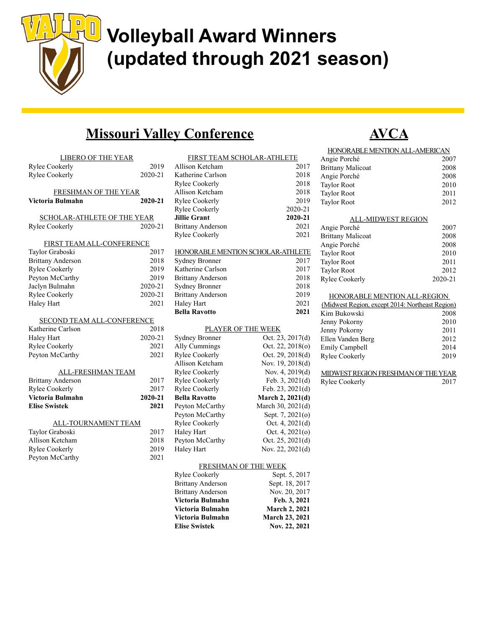

## Volleyball Award Winners (updated through 2021 season)

#### Missouri Valley Conference

| <b>LIBERO OF THE YEAR</b><br>Rylee Cookerly<br><b>Rylee Cookerly</b> | 2019<br>2020-21 |
|----------------------------------------------------------------------|-----------------|
| FRESHMAN OF THE YEAR<br>Victoria Bulmahn                             | 2020-21         |
| SCHOLAR-ATHLETE OF THE YEAR<br><b>Rylee Cookerly</b>                 | 2020-21         |
| FIRST TEAM ALL-CONFERENCE                                            |                 |
| Taylor Graboski                                                      | 2017            |
| <b>Brittany Anderson</b>                                             | 2018            |
| <b>Rylee Cookerly</b>                                                | 2019            |
| Peyton McCarthy                                                      | 2019            |
| Jaclyn Bulmahn                                                       | 2020-21         |
| Rylee Cookerly                                                       | 2020-21         |
| <b>Haley Hart</b>                                                    | 2021            |
|                                                                      |                 |
| <b>SECOND TEAM ALL-CONFERENCE</b><br>Katherine Carlson               | 2018            |
| Haley Hart                                                           | 2020-21         |
| Rylee Cookerly                                                       | 2021            |
| Peyton McCarthy                                                      | 2021            |
|                                                                      |                 |
| <b>ALL-FRESHMAN TEAM</b>                                             |                 |
| <b>Brittany Anderson</b>                                             | 2017            |
| <b>Rylee Cookerly</b>                                                | 2017            |
| Victoria Bulmahn                                                     | 2020-21         |
| <b>Elise Swistek</b>                                                 | 2021            |
| <b>ALL-TOURNAMENT TEAM</b>                                           |                 |
| Taylor Graboski                                                      | 2017            |
| Allison Ketcham                                                      | 2018            |
| <b>Rylee Cookerly</b>                                                | 2019            |
| Peyton McCarthy                                                      | 2021            |

Peyton McCarthy

|                          | FIRST TEAM SCHOLAR-ATHLETE        |
|--------------------------|-----------------------------------|
| Allison Ketcham          | 2017                              |
| Katherine Carlson        | 2018                              |
| Rylee Cookerly           | 2018                              |
| <b>Allison Ketcham</b>   | 2018                              |
| <b>Rylee Cookerly</b>    | 2019                              |
| <b>Rylee Cookerly</b>    | 2020-21                           |
| <b>Jillie Grant</b>      | 2020-21                           |
| <b>Brittany Anderson</b> | 2021                              |
| <b>Rylee Cookerly</b>    | 2021                              |
|                          | HONORABLE MENTION SCHOLAR-ATHLETE |
| <b>Sydney Bronner</b>    | 2017                              |
| Katherine Carlson        | 2017                              |
| <b>Brittany Anderson</b> | 2018                              |
| <b>Sydney Bronner</b>    | 2018                              |
| <b>Brittany Anderson</b> | 2019                              |
| Haley Hart               | 2021                              |
| <b>Bella Ravotto</b>     | 2021                              |
|                          | PLAYER OF THE WEEK                |
| <b>Sydney Bronner</b>    | Oct. 23, 2017(d)                  |
| Ally Cummings            | Oct. 22, 2018(o)                  |
| <b>Rylee Cookerly</b>    | Oct. 29, 2018(d)                  |
| <b>Allison Ketcham</b>   | Nov. 19, 2018(d)                  |
| <b>Rylee Cookerly</b>    | Nov. 4, 2019(d)                   |
| <b>Rylee Cookerly</b>    | Feb. 3, 2021(d)                   |
| <b>Rylee Cookerly</b>    | Feb. 23, 2021(d)                  |
| <b>Bella Ravotto</b>     | March 2, 2021(d)                  |
| Peyton McCarthy          | March 30, 2021(d)                 |
| Peyton McCarthy          | Sept. 7, 2021(o)                  |
| <b>Rylee Cookerly</b>    | Oct. 4, 2021(d)                   |
| Haley Hart               | Oct. 4, 2021(o)                   |
| Peyton McCarthy          | Oct. $25, 2021(d)$                |
| Haley Hart               | Nov. 22, 2021(d)                  |
|                          | FRESHMAN OF THE WEEK              |
| <b>Rylee Cookerly</b>    | Sept. 5, 2017                     |
| <b>Brittany Anderson</b> | Sept. 18, 2017                    |

Brittany Anderson Nov. 20, 2017 Victoria Bulmahn Feb. 3, 2021 Victoria Bulmahn March 2, 2021 Victoria Bulmahn March 23, 2021 Elise Swistek Nov. 22, 2021



| HONORABLE MENTION ALL-AMERICAN                  |         |
|-------------------------------------------------|---------|
| Angie Porché                                    | 2007    |
| <b>Brittany Malicoat</b>                        | 2008    |
| Angie Porché                                    | 2008    |
| <b>Taylor Root</b>                              | 2010    |
| <b>Taylor Root</b>                              | 2011    |
| <b>Taylor Root</b>                              | 2012    |
| ALL-MIDWEST REGION                              |         |
| Angie Porché                                    | 2007    |
| <b>Brittany Malicoat</b>                        | 2008    |
| Angie Porché                                    | 2008    |
| <b>Taylor Root</b>                              | 2010    |
| <b>Taylor Root</b>                              | 2011    |
| <b>Taylor Root</b>                              | 2012    |
| <b>Rylee Cookerly</b>                           | 2020-21 |
| HONORABLE MENTION ALL-REGION                    |         |
| (Midwest Region, except 2014: Northeast Region) |         |
| Kim Bukowski                                    | 2008    |
| Jenny Pokorny                                   | 2010    |
| Jenny Pokorny                                   | 2011    |
| Ellen Vanden Berg                               | 2012    |
| Emily Campbell                                  | 2014    |
| Rylee Cookerly                                  | 2019    |

| MIDWEST REGION FRESHMAN OF THE YEAR |      |
|-------------------------------------|------|
| Rylee Cookerly                      | 2017 |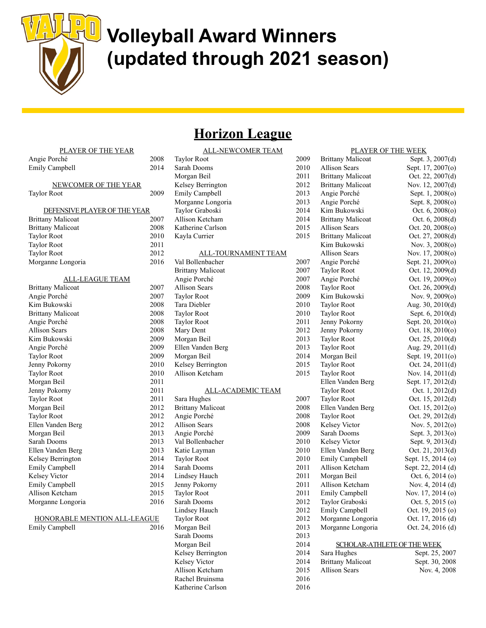

## Volleyball Award Winners (updated through 2021 season)

## **Horizon League**

ALL-NEWCOMER TEAM

| PLAYER OF THE YEAR           |      |
|------------------------------|------|
| Angie Porché                 | 2008 |
| Emily Campbell               | 2014 |
|                              |      |
| NEWCOMER OF THE YEAR         |      |
| Taylor Root                  | 2009 |
|                              |      |
| DEFENSIVE PLAYER OF THE YEAR |      |
| <b>Brittany Malicoat</b>     | 2007 |
| <b>Brittany Malicoat</b>     | 2008 |
| <b>Taylor Root</b>           | 2010 |
| <b>Taylor Root</b>           | 2011 |
| <b>Taylor Root</b>           | 2012 |
| Morganne Longoria            | 2016 |
|                              |      |
| <u>ALL-LEAGUE TEAM</u>       |      |
| <b>Brittany Malicoat</b>     | 2007 |
| Angie Porché                 | 2007 |
| Kim Bukowski                 | 2008 |
| <b>Brittany Malicoat</b>     | 2008 |
| Angie Porché                 | 2008 |
| <b>Allison Sears</b>         | 2008 |
| Kim Bukowski                 | 2009 |
| Angie Porché                 | 2009 |
| <b>Taylor Root</b>           | 2009 |
| Jenny Pokorny                | 2010 |
| <b>Taylor Root</b>           | 2010 |
| Morgan Beil                  | 2011 |
| Jenny Pokorny                | 2011 |
| <b>Taylor Root</b>           | 2011 |
| Morgan Beil                  | 2012 |
| <b>Taylor Root</b>           | 2012 |
| Ellen Vanden Berg            | 2012 |
| Morgan Beil                  | 2013 |
| Sarah Dooms                  | 2013 |
| Ellen Vanden Berg            | 2013 |
| Kelsey Berrington            | 2014 |
| <b>Emily Campbell</b>        | 2014 |
| Kelsey Victor                | 2014 |
| Emily Campbell               | 2015 |
| Allison Ketcham              | 2015 |
| Morganne Longoria            | 2016 |
|                              |      |
| HONORABLE MENTION ALL-LEAGUE |      |
| <b>Emily Campbell</b>        | 2016 |

| Morganne Longoria                        | 2013         |
|------------------------------------------|--------------|
| Taylor Graboski                          | 2014         |
| Allison Ketcham                          | 2014         |
| Katherine Carlson                        | 2015         |
| Kayla Currier                            | 2015         |
| ALL-TOURNAMENT TEAM                      |              |
| Val Bollenbacher                         | 2007         |
| <b>Brittany Malicoat</b>                 | 2007         |
| Angie Porché                             | 2007         |
| <b>Allison Sears</b>                     | 2008         |
| <b>Taylor Root</b>                       | 2009         |
| Tara Diebler                             | 2010         |
| <b>Taylor Root</b>                       | 2010         |
| <b>Taylor Root</b>                       | 2011         |
| Mary Dent                                | 2012         |
| Morgan Beil                              | 2013         |
| Ellen Vanden Berg                        | 2013         |
| Morgan Beil                              | 2014         |
| Kelsey Berrington                        | 2015         |
| Allison Ketcham                          | 2015         |
|                                          |              |
| <b>ALL-ACADEMIC TEAM</b>                 |              |
| Sara Hughes                              | 2007<br>2008 |
| <b>Brittany Malicoat</b><br>Angie Porché | 2008         |
| <b>Allison Sears</b>                     | 2008         |
| Angie Porché                             | 2009         |
| Val Bollenbacher                         | 2010         |
| Katie Layman                             | 2010         |
| <b>Taylor Root</b>                       | 2010         |
| Sarah Dooms                              | 2011         |
| Lindsey Hauch                            | 2011         |
| Jenny Pokorny                            | 2011         |
| <b>Taylor Root</b>                       | 2011         |
| Sarah Dooms                              | 2012         |
| Lindsey Hauch                            | 2012         |
| <b>Taylor Root</b>                       | 2012         |
| Morgan Beil                              | 2013         |
| Sarah Dooms                              | 2013         |
| Morgan Beil                              | 2014         |
| Kelsey Berrington                        | 2014         |
| Kelsey Victor                            | 2014         |
| Allison Ketcham                          | 2015         |
| Rachel Bruinsma                          | 2016         |
|                                          |              |

Katherine Carlson 2016

| <b>ALL-NEWCOMER TEAM</b>   |      |                          | PLAYER OF THE WEEK          |
|----------------------------|------|--------------------------|-----------------------------|
| <b>Taylor Root</b>         | 2009 | <b>Brittany Malicoat</b> | Sept. 3, 2007(d)            |
| Sarah Dooms                | 2010 | <b>Allison Sears</b>     | Sept. 17, 2007(o)           |
| Morgan Beil                | 2011 | <b>Brittany Malicoat</b> | Oct. 22, 2007(d)            |
| Kelsey Berrington          | 2012 | <b>Brittany Malicoat</b> | Nov. 12, 2007(d)            |
| Emily Campbell             | 2013 | Angie Porché             | Sept. 1, 2008(o)            |
| Morganne Longoria          | 2013 | Angie Porché             | Sept. 8, 2008(o)            |
| Taylor Graboski            | 2014 | Kim Bukowski             | Oct. $6, 2008(0)$           |
| Allison Ketcham            | 2014 | <b>Brittany Malicoat</b> | Oct. $6, 2008(d)$           |
| Katherine Carlson          | 2015 | <b>Allison Sears</b>     | Oct. $20, 2008$ (o)         |
| Kayla Currier              | 2015 | <b>Brittany Malicoat</b> | Oct. $27, 2008(d)$          |
|                            |      | Kim Bukowski             | Nov. 3, 2008(o)             |
| <b>ALL-TOURNAMENT TEAM</b> |      | <b>Allison Sears</b>     | Nov. $17,2008(0)$           |
| Val Bollenbacher           | 2007 | Angie Porché             | Sept. 21, 2009(o)           |
| <b>Brittany Malicoat</b>   | 2007 | <b>Taylor Root</b>       | Oct. $12, 2009(d)$          |
| Angie Porché               | 2007 | Angie Porché             | Oct. $19, 2009(0)$          |
| <b>Allison Sears</b>       | 2008 | <b>Taylor Root</b>       | Oct. 26, 2009(d)            |
| <b>Taylor Root</b>         | 2009 | Kim Bukowski             | Nov. 9, $2009(0)$           |
| Tara Diebler               | 2010 | <b>Taylor Root</b>       | Aug. 30, 2010(d)            |
| <b>Taylor Root</b>         | 2010 | <b>Taylor Root</b>       | Sept. 6, 2010(d)            |
| <b>Taylor Root</b>         | 2011 | Jenny Pokorny            | Sept. 20, 2010(o)           |
| Mary Dent                  | 2012 | Jenny Pokorny            | Oct. $18, 2010(o)$          |
| Morgan Beil                | 2013 | <b>Taylor Root</b>       | Oct. $25, 2010(d)$          |
| Ellen Vanden Berg          | 2013 | <b>Taylor Root</b>       | Aug. $29, 2011(d)$          |
| Morgan Beil                | 2014 | Morgan Beil              | Sept. 19, 2011(o)           |
| Kelsey Berrington          | 2015 | <b>Taylor Root</b>       | Oct. 24, $2011(d)$          |
| Allison Ketcham            | 2015 | <b>Taylor Root</b>       | Nov. $14, 2011(d)$          |
|                            |      | Ellen Vanden Berg        | Sept. 17, 2012(d)           |
| <b>ALL-ACADEMIC TEAM</b>   |      | <b>Taylor Root</b>       | Oct. $1, 2012(d)$           |
| Sara Hughes                | 2007 | <b>Taylor Root</b>       | Oct. $15, 2012(d)$          |
| <b>Brittany Malicoat</b>   | 2008 | Ellen Vanden Berg        | Oct. 15, 2012(o)            |
| Angie Porché               | 2008 | <b>Taylor Root</b>       | Oct. $29, 2012(d)$          |
| <b>Allison Sears</b>       | 2008 | Kelsey Victor            | Nov. $5, 2012(0)$           |
| Angie Porché               | 2009 | Sarah Dooms              | Sept. 3, 2013(o)            |
| Val Bollenbacher           | 2010 | Kelsey Victor            | Sept. 9, 2013(d)            |
| Katie Layman               | 2010 | Ellen Vanden Berg        | Oct. 21, 2013(d)            |
| <b>Taylor Root</b>         | 2010 | Emily Campbell           | Sept. 15, 2014 (o)          |
| Sarah Dooms                | 2011 | Allison Ketcham          | Sept. 22, 2014 (d)          |
| Lindsey Hauch              | 2011 | Morgan Beil              | Oct. $6, 2014$ (o)          |
| Jenny Pokorny              | 2011 | Allison Ketcham          | Nov. 4, $2014$ (d)          |
| <b>Taylor Root</b>         | 2011 | Emily Campbell           | Nov. 17, 2014 (o)           |
| Sarah Dooms                | 2012 | Taylor Graboski          | Oct. 5, 2015 (o)            |
| Lindsey Hauch              | 2012 | Emily Campbell           | Oct. 19, 2015 (o)           |
| <b>Taylor Root</b>         | 2012 | Morganne Longoria        | Oct. 17, 2016 (d)           |
| Morgan Beil                | 2013 | Morganne Longoria        | Oct. 24, 2016 (d)           |
| Sarah Dooms                | 2013 |                          |                             |
| Morgan Beil                | 2014 |                          | SCHOLAR-ATHLETE OF THE WEEK |
| Kelsey Berrington          | 2014 | Sara Hughes              | Sept. 25, 2007              |
| Kelsey Victor              | 2014 | <b>Brittany Malicoat</b> | Sept. 30, 2008              |
| Allison Ketcham            | 2015 | <b>Allison Sears</b>     | Nov. 4, 2008                |
|                            |      |                          |                             |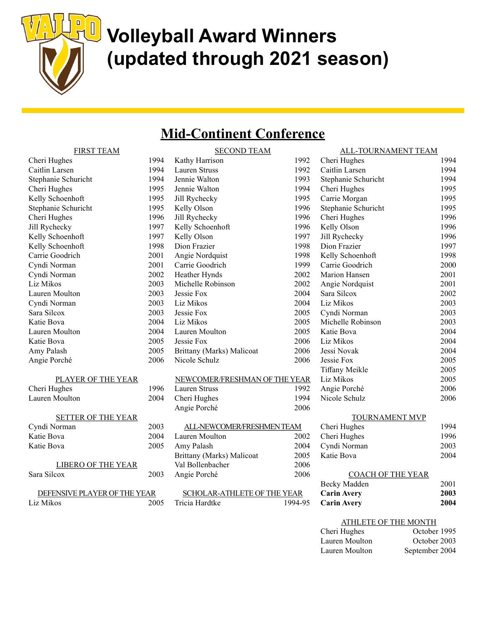

# **U** Volleyball Award Winners (updated through 2021 season)

## Mid-Continent Conference

| <b>FIRST TEAM</b>         |      | <b>SECOND TEAM</b>            |      | ALL-TOURNAMENT TEAM      |      |
|---------------------------|------|-------------------------------|------|--------------------------|------|
| Cheri Hughes              | 1994 | Kathy Harrison                | 1992 | Cheri Hughes             | 1994 |
| Caitlin Larsen            | 1994 | Lauren Struss                 | 1992 | Caitlin Larsen           | 1994 |
| Stephanie Schuricht       | 1994 | Jennie Walton                 | 1993 | Stephanie Schuricht      | 1994 |
| Cheri Hughes              | 1995 | Jennie Walton                 | 1994 | Cheri Hughes             | 1995 |
| Kelly Schoenhoft          | 1995 | Jill Rychecky                 | 1995 | Carrie Morgan            | 1995 |
| Stephanie Schuricht       | 1995 | Kelly Olson                   | 1996 | Stephanie Schuricht      | 1995 |
| Cheri Hughes              | 1996 | Jill Rychecky                 | 1996 | Cheri Hughes             | 1996 |
| Jill Rychecky             | 1997 | Kelly Schoenhoft              | 1996 | Kelly Olson              | 1996 |
| Kelly Schoenhoft          | 1997 | Kelly Olson                   | 1997 | Jill Rychecky            | 1996 |
| Kelly Schoenhoft          | 1998 | Dion Frazier                  | 1998 | Dion Frazier             | 1997 |
| Carrie Goodrich           | 2001 | Angie Nordquist               | 1998 | Kelly Schoenhoft         | 1998 |
| Cyndi Norman              | 2001 | Carrie Goodrich               | 1999 | Carrie Goodrich          | 2000 |
| Cyndi Norman              | 2002 | Heather Hynds                 | 2002 | Marion Hansen            | 2001 |
| Liz Mikos                 | 2003 | Michelle Robinson             | 2002 | Angie Nordquist          | 2001 |
| Lauren Moulton            | 2003 | Jessie Fox                    | 2004 | Sara Silcox              | 2002 |
| Cyndi Norman              | 2003 | Liz Mikos                     | 2004 | Liz Mikos                | 2003 |
| Sara Silcox               | 2003 | Jessie Fox                    | 2005 | Cyndi Norman             | 2003 |
| Katie Bova                | 2004 | Liz Mikos                     | 2005 | Michelle Robinson        | 2003 |
| Lauren Moulton            | 2004 | Lauren Moulton                | 2005 | Katie Bova               | 2004 |
| Katie Bova                | 2005 | Jessie Fox                    | 2006 | Liz Mikos                | 2004 |
| Amy Palash                | 2005 | Brittany (Marks) Malicoat     | 2006 | Jessi Novak              | 2004 |
| Angie Porché              | 2006 | Nicole Schulz                 | 2006 | Jessie Fox               | 2005 |
|                           |      |                               |      | Tiffany Meikle           | 2005 |
| PLAYER OF THE YEAR        |      | NEWCOMER/FRESHMAN OF THE YEAR |      | Liz Mikos                | 2005 |
| Cheri Hughes              | 1996 | Lauren Struss                 | 1992 | Angie Porché             | 2006 |
| Lauren Moulton            | 2004 | Cheri Hughes                  | 1994 | Nicole Schulz            | 2006 |
|                           |      | Angie Porché                  | 2006 |                          |      |
| <b>SETTER OF THE YEAR</b> |      |                               |      | <b>TOURNAMENT MVP</b>    |      |
| Cyndi Norman              | 2003 | ALL-NEWCOMER/FRESHMEN TEAM    |      | Cheri Hughes             | 1994 |
| Katie Bova                | 2004 | Lauren Moulton                | 2002 | Cheri Hughes             | 1996 |
| Katie Bova                | 2005 | Amy Palash                    | 2004 | Cyndi Norman             | 2003 |
|                           |      | Brittany (Marks) Malicoat     | 2005 | Katie Bova               | 2004 |
| <b>LIBERO OF THE YEAR</b> |      | Val Bollenbacher              | 2006 |                          |      |
| Sara Silcox               | 2003 | Angie Porché                  | 2006 | <b>COACH OF THE YEAR</b> |      |

| DEFENSIVE PLAYER OF THE YEAR |      |
|------------------------------|------|
| Liz Mikos                    | 2005 |

| SCHOLAR-ATHLETE OF THE YEAR |         |
|-----------------------------|---------|
| Tricia Hardtke              | 1994-95 |

| Caitlin Larsen                                           | 1994 |
|----------------------------------------------------------|------|
| Stephanie Schuricht                                      | 1994 |
| Cheri Hughes                                             | 1995 |
| Carrie Morgan                                            | 1995 |
| Stephanie Schuricht                                      | 1995 |
| Cheri Hughes                                             | 1996 |
| Kelly Olson                                              | 1996 |
| Jill Rychecky                                            | 1996 |
| Dion Frazier                                             | 1997 |
| Kelly Schoenhoft                                         | 1998 |
| Carrie Goodrich                                          | 2000 |
| Marion Hansen                                            | 2001 |
| Angie Nordquist                                          | 2001 |
| Sara Silcox                                              | 2002 |
| Liz Mikos                                                | 2003 |
| Cyndi Norman                                             | 2003 |
| Michelle Robinson                                        | 2003 |
| Katie Bova                                               | 2004 |
| Liz Mikos                                                | 2004 |
| Jessi Novak                                              | 2004 |
| Jessie Fox                                               | 2005 |
| Tiffany Meikle                                           | 2005 |
| Liz Mikos                                                | 2005 |
| Angie Porché                                             | 2006 |
| Nicole Schulz                                            | 2006 |
|                                                          |      |
| TOURNAMENT MVP<br>$\pm$ TL $\pm$ 1. $\pm$ .<br>$\cap$ 1. | 1001 |
|                                                          |      |

| Cheri Hughes | 1994 |
|--------------|------|
| Cheri Hughes | 1996 |
| Cyndi Norman | 2003 |
| Katie Bova   | 2004 |
|              |      |

| <b>COACH OF THE YEAR</b> |      |
|--------------------------|------|
| Becky Madden             | 2001 |
| <b>Carin Avery</b>       | 2003 |
| <b>Carin Avery</b>       | 2004 |

| ATHLETE OF THE MONTH |                |  |  |
|----------------------|----------------|--|--|
| Cheri Hughes         | October 1995   |  |  |
| Lauren Moulton       | October 2003   |  |  |
| Lauren Moulton       | September 2004 |  |  |